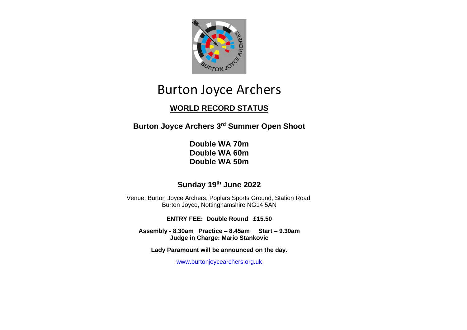

# Burton Joyce Archers

## **WORLD RECORD STATUS**

**Burton Joyce Archers 3 rd Summer Open Shoot**

**Double WA 70m Double WA 60m Double WA 50m**

### **Sunday 19th June 2022**

Venue: Burton Joyce Archers, Poplars Sports Ground, Station Road, Burton Joyce, Nottinghamshire NG14 5AN

**ENTRY FEE: Double Round £15.50**

**Assembly - 8.30am Practice – 8.45am Start – 9.30am Judge in Charge: Mario Stankovic**

**Lady Paramount will be announced on the day.**

[www.burtonjoycearchers.org.uk](http://www.burtonjoycearchers.org.uk/)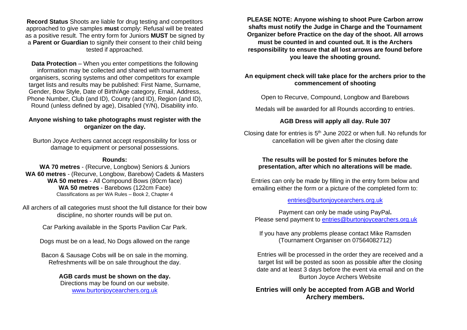**Record Status** Shoots are liable for drug testing and competitors approached to give samples **must** comply: Refusal will be treated as a positive result. The entry form for Juniors **MUST** be signed by a **Parent or Guardian** to signify their consent to their child being tested if approached.

**Data Protection** – When you enter competitions the following information may be collected and shared with tournament organisers, scoring systems and other competitors for example target lists and results may be published: First Name, Surname, Gender, Bow Style, Date of Birth/Age category, Email, Address, Phone Number, Club (and ID), County (and ID), Region (and ID), Round (unless defined by age), Disabled (Y/N), Disability info.

#### **Anyone wishing to take photographs must register with the organizer on the day.**

Burton Joyce Archers cannot accept responsibility for loss or damage to equipment or personal possessions.

#### **Rounds:**

**WA 70 metres** - (Recurve, Longbow) Seniors & Juniors **WA 60 metres** - (Recurve, Longbow, Barebow) Cadets & Masters **WA 50 metres** - All Compound Bows (80cm face) **WA 50 metres** - Barebows (122cm Face) Classifications as per WA Rules – Book 2, Chapter 4

All archers of all categories must shoot the full distance for their bow discipline, no shorter rounds will be put on.

Car Parking available in the Sports Pavilion Car Park.

Dogs must be on a lead, No Dogs allowed on the range

Bacon & Sausage Cobs will be on sale in the morning. Refreshments will be on sale throughout the day.

#### **AGB cards must be shown on the day.**

Directions may be found on our website. [www.burtonjoycearchers.org.uk](http://www.burtonjoycearchers.org.uk/)

**PLEASE NOTE: Anyone wishing to shoot Pure Carbon arrow shafts must notify the Judge in Charge and the Tournament Organizer before Practice on the day of the shoot. All arrows must be counted in and counted out. It is the Archers responsibility to ensure that all lost arrows are found before you leave the shooting ground.**

#### **An equipment check will take place for the archers prior to the commencement of shooting**

Open to Recurve, Compound, Longbow and Barebows

Medals will be awarded for all Rounds according to entries.

#### **AGB Dress will apply all day. Rule 307**

Closing date for entries is  $5<sup>th</sup>$  June 2022 or when full. No refunds for cancellation will be given after the closing date

#### **The results will be posted for 5 minutes before the presentation, after which no alterations will be made.**

Entries can only be made by filling in the entry form below and emailing either the form or a picture of the completed form to:

#### [entries@burtonjoycearchers.org.uk](mailto:entries@burtonjoycearchers.org.uk)

Payment can only be made using PayPal**.** Please send payment to [entries@burtonjoycearchers.org.uk](mailto:entries@burtonjoycearchers.org.uk)

If you have any problems please contact Mike Ramsden (Tournament Organiser on 07564082712)

Entries will be processed in the order they are received and a target list will be posted as soon as possible after the closing date and at least 3 days before the event via email and on the Burton Joyce Archers Website

#### **Entries will only be accepted from AGB and World Archery members.**